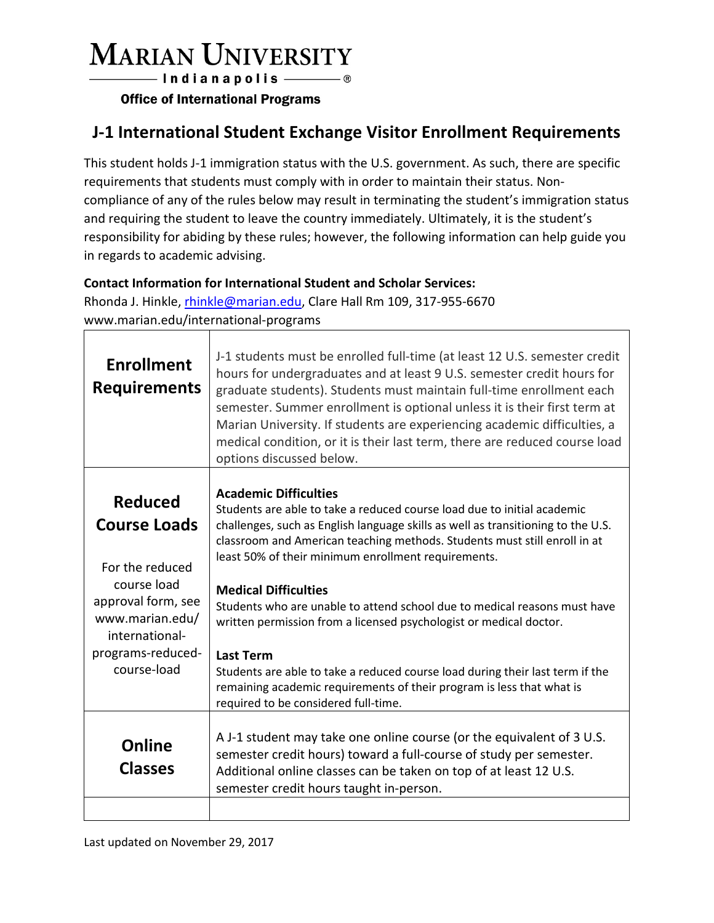## **MARIAN UNIVERSITY**

- Indianapolis ———— ®

**Office of International Programs** 

## **J-1 International Student Exchange Visitor Enrollment Requirements**

This student holds J-1 immigration status with the U.S. government. As such, there are specific requirements that students must comply with in order to maintain their status. Noncompliance of any of the rules below may result in terminating the student's immigration status and requiring the student to leave the country immediately. Ultimately, it is the student's responsibility for abiding by these rules; however, the following information can help guide you in regards to academic advising.

## **Contact Information for International Student and Scholar Services:**

Rhonda J. Hinkle, [rhinkle@marian.edu,](mailto:rhinkle@marian.edu) Clare Hall Rm 109, 317-955-6670 www.marian.edu/international-programs

| <b>Enrollment</b><br><b>Requirements</b>                                                                                                                               | J-1 students must be enrolled full-time (at least 12 U.S. semester credit<br>hours for undergraduates and at least 9 U.S. semester credit hours for<br>graduate students). Students must maintain full-time enrollment each<br>semester. Summer enrollment is optional unless it is their first term at<br>Marian University. If students are experiencing academic difficulties, a<br>medical condition, or it is their last term, there are reduced course load<br>options discussed below.                                                                                                                                                                                                                                           |
|------------------------------------------------------------------------------------------------------------------------------------------------------------------------|-----------------------------------------------------------------------------------------------------------------------------------------------------------------------------------------------------------------------------------------------------------------------------------------------------------------------------------------------------------------------------------------------------------------------------------------------------------------------------------------------------------------------------------------------------------------------------------------------------------------------------------------------------------------------------------------------------------------------------------------|
| <b>Reduced</b><br><b>Course Loads</b><br>For the reduced<br>course load<br>approval form, see<br>www.marian.edu/<br>international-<br>programs-reduced-<br>course-load | <b>Academic Difficulties</b><br>Students are able to take a reduced course load due to initial academic<br>challenges, such as English language skills as well as transitioning to the U.S.<br>classroom and American teaching methods. Students must still enroll in at<br>least 50% of their minimum enrollment requirements.<br><b>Medical Difficulties</b><br>Students who are unable to attend school due to medical reasons must have<br>written permission from a licensed psychologist or medical doctor.<br><b>Last Term</b><br>Students are able to take a reduced course load during their last term if the<br>remaining academic requirements of their program is less that what is<br>required to be considered full-time. |
| Online<br><b>Classes</b>                                                                                                                                               | A J-1 student may take one online course (or the equivalent of 3 U.S.<br>semester credit hours) toward a full-course of study per semester.<br>Additional online classes can be taken on top of at least 12 U.S.<br>semester credit hours taught in-person.                                                                                                                                                                                                                                                                                                                                                                                                                                                                             |
|                                                                                                                                                                        |                                                                                                                                                                                                                                                                                                                                                                                                                                                                                                                                                                                                                                                                                                                                         |